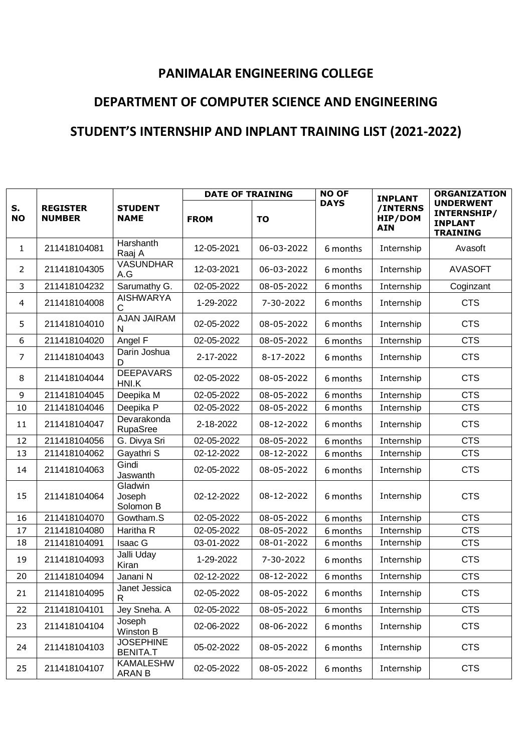## **PANIMALAR ENGINEERING COLLEGE**

## **DEPARTMENT OF COMPUTER SCIENCE AND ENGINEERING**

## **STUDENT'S INTERNSHIP AND INPLANT TRAINING LIST (2021-2022)**

|                 | <b>REGISTER</b><br><b>NUMBER</b> | <b>STUDENT</b><br><b>NAME</b>       | <b>DATE OF TRAINING</b> |                  | <b>NO OF</b> | <b>INPLANT</b>                    | <b>ORGANIZATION</b>                                                  |
|-----------------|----------------------------------|-------------------------------------|-------------------------|------------------|--------------|-----------------------------------|----------------------------------------------------------------------|
| S.<br><b>NO</b> |                                  |                                     | <b>FROM</b>             | <b>TO</b>        | <b>DAYS</b>  | /INTERNS<br>HIP/DOM<br><b>AIN</b> | <b>UNDERWENT</b><br>INTERNSHIP/<br><b>INPLANT</b><br><b>TRAINING</b> |
| 1               | 211418104081                     | Harshanth<br>Raaj A                 | 12-05-2021              | 06-03-2022       | 6 months     | Internship                        | Avasoft                                                              |
| $\overline{2}$  | 211418104305                     | <b>VASUNDHAR</b><br>A.G             | 12-03-2021              | 06-03-2022       | 6 months     | Internship                        | <b>AVASOFT</b>                                                       |
| 3               | 211418104232                     | Sarumathy G.                        | 02-05-2022              | 08-05-2022       | 6 months     | Internship                        | Coginzant                                                            |
| 4               | 211418104008                     | <b>AISHWARYA</b><br>C               | 1-29-2022               | 7-30-2022        | 6 months     | Internship                        | <b>CTS</b>                                                           |
| 5               | 211418104010                     | <b>AJAN JAIRAM</b><br>$\mathsf{N}$  | 02-05-2022              | 08-05-2022       | 6 months     | Internship                        | <b>CTS</b>                                                           |
| 6               | 211418104020                     | Angel F                             | 02-05-2022              | 08-05-2022       | 6 months     | Internship                        | <b>CTS</b>                                                           |
| $\overline{7}$  | 211418104043                     | Darin Joshua<br>D                   | 2-17-2022               | 8-17-2022        | 6 months     | Internship                        | <b>CTS</b>                                                           |
| 8               | 211418104044                     | <b>DEEPAVARS</b><br>HNI.K           | 02-05-2022              | 08-05-2022       | 6 months     | Internship                        | <b>CTS</b>                                                           |
| 9               | 211418104045                     | Deepika M                           | 02-05-2022              | 08-05-2022       | 6 months     | Internship                        | <b>CTS</b>                                                           |
| 10              | 211418104046                     | Deepika P                           | 02-05-2022              | 08-05-2022       | 6 months     | Internship                        | <b>CTS</b>                                                           |
| 11              | 211418104047                     | Devarakonda<br>RupaSree             | 2-18-2022               | 08-12-2022       | 6 months     | Internship                        | <b>CTS</b>                                                           |
| 12              | 211418104056                     | G. Divya Sri                        | 02-05-2022              | 08-05-2022       | 6 months     | Internship                        | <b>CTS</b>                                                           |
| 13              | 211418104062                     | Gayathri S                          | 02-12-2022              | 08-12-2022       | 6 months     | Internship                        | <b>CTS</b>                                                           |
| 14              | 211418104063                     | Gindi<br>Jaswanth                   | 02-05-2022              | 08-05-2022       | 6 months     | Internship                        | <b>CTS</b>                                                           |
| 15              | 211418104064                     | Gladwin<br>Joseph<br>Solomon B      | 02-12-2022              | 08-12-2022       | 6 months     | Internship                        | <b>CTS</b>                                                           |
| 16              | 211418104070                     | Gowtham.S                           | 02-05-2022              | 08-05-2022       | 6 months     | Internship                        | <b>CTS</b>                                                           |
| 17              | 211418104080                     | Haritha R                           | 02-05-2022              | $08 - 05 - 2022$ | 6 months     | Internship                        | <b>CTS</b>                                                           |
| 18              | 211418104091                     | Isaac G                             | 03-01-2022              | 08-01-2022       | 6 months     | Internship                        | <b>CTS</b>                                                           |
| 19              | 211418104093                     | Jalli Uday<br>Kiran                 | 1-29-2022               | 7-30-2022        | 6 months     | Internship                        | <b>CTS</b>                                                           |
| 20              | 211418104094                     | Janani N                            | 02-12-2022              | 08-12-2022       | 6 months     | Internship                        | <b>CTS</b>                                                           |
| 21              | 211418104095                     | Janet Jessica<br>R                  | 02-05-2022              | 08-05-2022       | 6 months     | Internship                        | <b>CTS</b>                                                           |
| 22              | 211418104101                     | Jey Sneha. A                        | 02-05-2022              | 08-05-2022       | 6 months     | Internship                        | <b>CTS</b>                                                           |
| 23              | 211418104104                     | Joseph<br>Winston B                 | 02-06-2022              | 08-06-2022       | 6 months     | Internship                        | <b>CTS</b>                                                           |
| 24              | 211418104103                     | <b>JOSEPHINE</b><br><b>BENITA.T</b> | 05-02-2022              | 08-05-2022       | 6 months     | Internship                        | <b>CTS</b>                                                           |
| 25              | 211418104107                     | <b>KAMALESHW</b><br><b>ARAN B</b>   | 02-05-2022              | 08-05-2022       | 6 months     | Internship                        | <b>CTS</b>                                                           |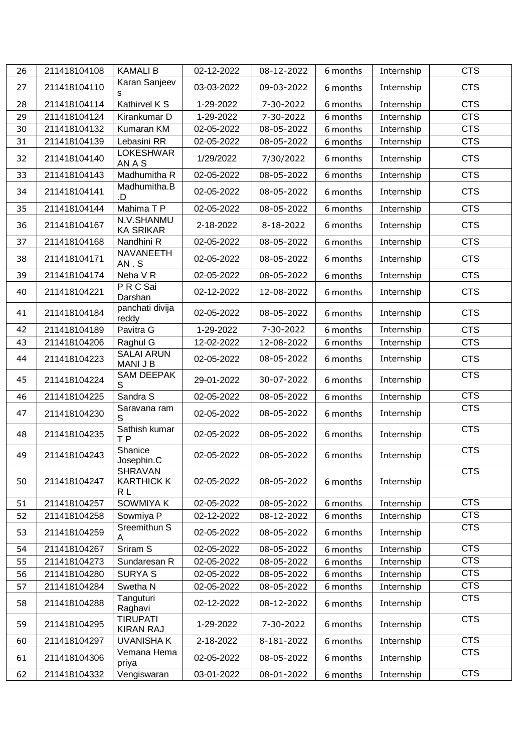| 26 | 211418104108 | <b>KAMALI B</b>                            | 02-12-2022 | 08-12-2022 | 6 months | Internship | <b>CTS</b>              |
|----|--------------|--------------------------------------------|------------|------------|----------|------------|-------------------------|
| 27 | 211418104110 | Karan Sanjeev                              | 03-03-2022 | 09-03-2022 | 6 months | Internship | <b>CTS</b>              |
| 28 | 211418104114 | Kathirvel K S                              | 1-29-2022  | 7-30-2022  | 6 months | Internship | <b>CTS</b>              |
| 29 | 211418104124 | Kirankumar D                               | 1-29-2022  | 7-30-2022  | 6 months | Internship | <b>CTS</b>              |
| 30 | 211418104132 | Kumaran KM                                 | 02-05-2022 | 08-05-2022 | 6 months | Internship | <b>CTS</b>              |
| 31 | 211418104139 | Lebasini RR                                | 02-05-2022 | 08-05-2022 | 6 months | Internship | <b>CTS</b>              |
| 32 | 211418104140 | <b>LOKESHWAR</b><br>AN A S                 | 1/29/2022  | 7/30/2022  | 6 months | Internship | <b>CTS</b>              |
| 33 | 211418104143 | Madhumitha R                               | 02-05-2022 | 08-05-2022 | 6 months | Internship | <b>CTS</b>              |
| 34 | 211418104141 | Madhumitha.B<br>.D                         | 02-05-2022 | 08-05-2022 | 6 months | Internship | <b>CTS</b>              |
| 35 | 211418104144 | Mahima T P                                 | 02-05-2022 | 08-05-2022 | 6 months | Internship | <b>CTS</b>              |
| 36 | 211418104167 | N.V.SHANMU<br><b>KA SRIKAR</b>             | 2-18-2022  | 8-18-2022  | 6 months | Internship | <b>CTS</b>              |
| 37 | 211418104168 | Nandhini R                                 | 02-05-2022 | 08-05-2022 | 6 months | Internship | <b>CTS</b>              |
| 38 | 211418104171 | <b>NAVANEETH</b><br>AN.S                   | 02-05-2022 | 08-05-2022 | 6 months | Internship | <b>CTS</b>              |
| 39 | 211418104174 | Neha V R                                   | 02-05-2022 | 08-05-2022 | 6 months | Internship | <b>CTS</b>              |
| 40 | 211418104221 | PRCSai<br>Darshan                          | 02-12-2022 | 12-08-2022 | 6 months | Internship | <b>CTS</b>              |
| 41 | 211418104184 | panchati divija<br>reddy                   | 02-05-2022 | 08-05-2022 | 6 months | Internship | <b>CTS</b>              |
| 42 | 211418104189 | Pavitra G                                  | 1-29-2022  | 7-30-2022  | 6 months | Internship | <b>CTS</b>              |
| 43 | 211418104206 | Raghul G                                   | 12-02-2022 | 12-08-2022 | 6 months | Internship | <b>CTS</b>              |
| 44 | 211418104223 | <b>SALAI ARUN</b><br>MANI J B              | 02-05-2022 | 08-05-2022 | 6 months | Internship | <b>CTS</b>              |
| 45 | 211418104224 | <b>SAM DEEPAK</b><br>S                     | 29-01-2022 | 30-07-2022 | 6 months | Internship | <b>CTS</b>              |
| 46 | 211418104225 | Sandra S                                   | 02-05-2022 | 08-05-2022 | 6 months | Internship | $\overline{\text{CTS}}$ |
| 47 | 211418104230 | Saravana ram<br>S                          | 02-05-2022 | 08-05-2022 | 6 months | Internship | <b>CTS</b>              |
| 48 | 211418104235 | Sathish kumar<br>T <sub>P</sub>            | 02-05-2022 | 08-05-2022 | 6 months | Internship | CTS                     |
| 49 | 211418104243 | Shanice<br>Josephin.C                      | 02-05-2022 | 08-05-2022 | 6 months | Internship | <b>CTS</b>              |
| 50 | 211418104247 | <b>SHRAVAN</b><br><b>KARTHICK K</b><br>R L | 02-05-2022 | 08-05-2022 | 6 months | Internship | <b>CTS</b>              |
| 51 | 211418104257 | SOWMIYA K                                  | 02-05-2022 | 08-05-2022 | 6 months | Internship | <b>CTS</b>              |
| 52 | 211418104258 | Sowmiya P                                  | 02-12-2022 | 08-12-2022 | 6 months | Internship | <b>CTS</b>              |
| 53 | 211418104259 | Sreemithun S                               | 02-05-2022 | 08-05-2022 | 6 months | Internship | <b>CTS</b>              |
| 54 | 211418104267 | Sriram <sub>S</sub>                        | 02-05-2022 | 08-05-2022 | 6 months | Internship | <b>CTS</b>              |
| 55 | 211418104273 | Sundaresan R                               | 02-05-2022 | 08-05-2022 | 6 months | Internship | <b>CTS</b>              |
| 56 | 211418104280 | <b>SURYA S</b>                             | 02-05-2022 | 08-05-2022 | 6 months | Internship | <b>CTS</b>              |
| 57 | 211418104284 | Swetha N                                   | 02-05-2022 | 08-05-2022 | 6 months | Internship | <b>CTS</b>              |
| 58 | 211418104288 | Tanguturi<br>Raghavi                       | 02-12-2022 | 08-12-2022 | 6 months | Internship | <b>CTS</b>              |
| 59 | 211418104295 | <b>TIRUPATI</b><br><b>KIRAN RAJ</b>        | 1-29-2022  | 7-30-2022  | 6 months | Internship | <b>CTS</b>              |
| 60 | 211418104297 | <b>UVANISHAK</b>                           | 2-18-2022  | 8-181-2022 | 6 months | Internship | <b>CTS</b>              |
| 61 | 211418104306 | Vemana Hema<br>priya                       | 02-05-2022 | 08-05-2022 | 6 months | Internship | CTS                     |
| 62 | 211418104332 | Vengiswaran                                | 03-01-2022 | 08-01-2022 | 6 months | Internship | <b>CTS</b>              |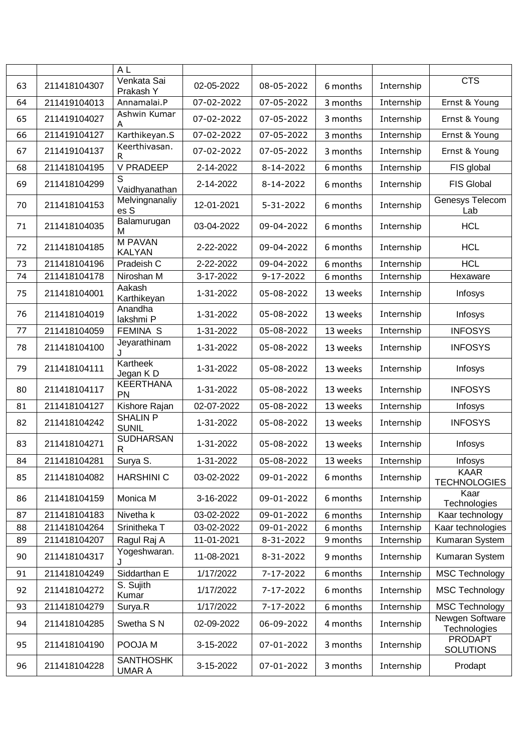|    |              | A <sub>L</sub>                    |            |            |          |            |                                    |
|----|--------------|-----------------------------------|------------|------------|----------|------------|------------------------------------|
| 63 | 211418104307 | Venkata Sai<br>Prakash Y          | 02-05-2022 | 08-05-2022 | 6 months | Internship | <b>CTS</b>                         |
| 64 | 211419104013 | Annamalai.P                       | 07-02-2022 | 07-05-2022 | 3 months | Internship | Ernst & Young                      |
| 65 | 211419104027 | Ashwin Kumar<br>A                 | 07-02-2022 | 07-05-2022 | 3 months | Internship | Ernst & Young                      |
| 66 | 211419104127 | Karthikeyan.S                     | 07-02-2022 | 07-05-2022 | 3 months | Internship | Ernst & Young                      |
| 67 | 211419104137 | Keerthivasan.<br>R                | 07-02-2022 | 07-05-2022 | 3 months | Internship | Ernst & Young                      |
| 68 | 211418104195 | V PRADEEP                         | 2-14-2022  | 8-14-2022  | 6 months | Internship | FIS global                         |
| 69 | 211418104299 | S<br>Vaidhyanathan                | 2-14-2022  | 8-14-2022  | 6 months | Internship | <b>FIS Global</b>                  |
| 70 | 211418104153 | Melvingnanaliy<br>es S            | 12-01-2021 | 5-31-2022  | 6 months | Internship | Genesys Telecom<br>Lab             |
| 71 | 211418104035 | Balamurugan<br>M                  | 03-04-2022 | 09-04-2022 | 6 months | Internship | <b>HCL</b>                         |
| 72 | 211418104185 | <b>M PAVAN</b><br><b>KALYAN</b>   | 2-22-2022  | 09-04-2022 | 6 months | Internship | <b>HCL</b>                         |
| 73 | 211418104196 | Pradeish C                        | 2-22-2022  | 09-04-2022 | 6 months | Internship | <b>HCL</b>                         |
| 74 | 211418104178 | Niroshan M                        | 3-17-2022  | 9-17-2022  | 6 months | Internship | Hexaware                           |
| 75 | 211418104001 | Aakash<br>Karthikeyan             | 1-31-2022  | 05-08-2022 | 13 weeks | Internship | Infosys                            |
| 76 | 211418104019 | Anandha<br>lakshmi P              | 1-31-2022  | 05-08-2022 | 13 weeks | Internship | Infosys                            |
| 77 | 211418104059 | <b>FEMINA S</b>                   | 1-31-2022  | 05-08-2022 | 13 weeks | Internship | <b>INFOSYS</b>                     |
| 78 | 211418104100 | Jeyarathinam                      | 1-31-2022  | 05-08-2022 | 13 weeks | Internship | <b>INFOSYS</b>                     |
| 79 | 211418104111 | Kartheek<br>Jegan KD              | 1-31-2022  | 05-08-2022 | 13 weeks | Internship | Infosys                            |
| 80 | 211418104117 | <b>KEERTHANA</b><br>PN            | 1-31-2022  | 05-08-2022 | 13 weeks | Internship | <b>INFOSYS</b>                     |
| 81 | 211418104127 | Kishore Rajan                     | 02-07-2022 | 05-08-2022 | 13 weeks | Internship | Infosys                            |
| 82 | 211418104242 | <b>SHALIN P</b><br><b>SUNIL</b>   | 1-31-2022  | 05-08-2022 | 13 weeks | Internship | <b>INFOSYS</b>                     |
| 83 | 211418104271 | SUDHARSAN<br>R                    | 1-31-2022  | 05-08-2022 | 13 weeks | Internship | Infosys                            |
| 84 | 211418104281 | Surya S.                          | 1-31-2022  | 05-08-2022 | 13 weeks | Internship | Infosys                            |
| 85 | 211418104082 | <b>HARSHINI C</b>                 | 03-02-2022 | 09-01-2022 | 6 months | Internship | <b>KAAR</b><br><b>TECHNOLOGIES</b> |
| 86 | 211418104159 | Monica M                          | 3-16-2022  | 09-01-2022 | 6 months | Internship | Kaar<br>Technologies               |
| 87 | 211418104183 | Nivetha k                         | 03-02-2022 | 09-01-2022 | 6 months | Internship | Kaar technology                    |
| 88 | 211418104264 | Srinitheka T                      | 03-02-2022 | 09-01-2022 | 6 months | Internship | Kaar technologies                  |
| 89 | 211418104207 | Ragul Raj A                       | 11-01-2021 | 8-31-2022  | 9 months | Internship | Kumaran System                     |
| 90 | 211418104317 | Yogeshwaran.                      | 11-08-2021 | 8-31-2022  | 9 months | Internship | Kumaran System                     |
| 91 | 211418104249 | Siddarthan E                      | 1/17/2022  | 7-17-2022  | 6 months | Internship | <b>MSC Technology</b>              |
| 92 | 211418104272 | S. Sujith<br>Kumar                | 1/17/2022  | 7-17-2022  | 6 months | Internship | <b>MSC Technology</b>              |
| 93 | 211418104279 | Surya.R                           | 1/17/2022  | 7-17-2022  | 6 months | Internship | <b>MSC Technology</b>              |
| 94 | 211418104285 | Swetha S N                        | 02-09-2022 | 06-09-2022 | 4 months | Internship | Newgen Software<br>Technologies    |
| 95 | 211418104190 | POOJA M                           | 3-15-2022  | 07-01-2022 | 3 months | Internship | <b>PRODAPT</b><br><b>SOLUTIONS</b> |
| 96 | 211418104228 | <b>SANTHOSHK</b><br><b>UMAR A</b> | 3-15-2022  | 07-01-2022 | 3 months | Internship | Prodapt                            |